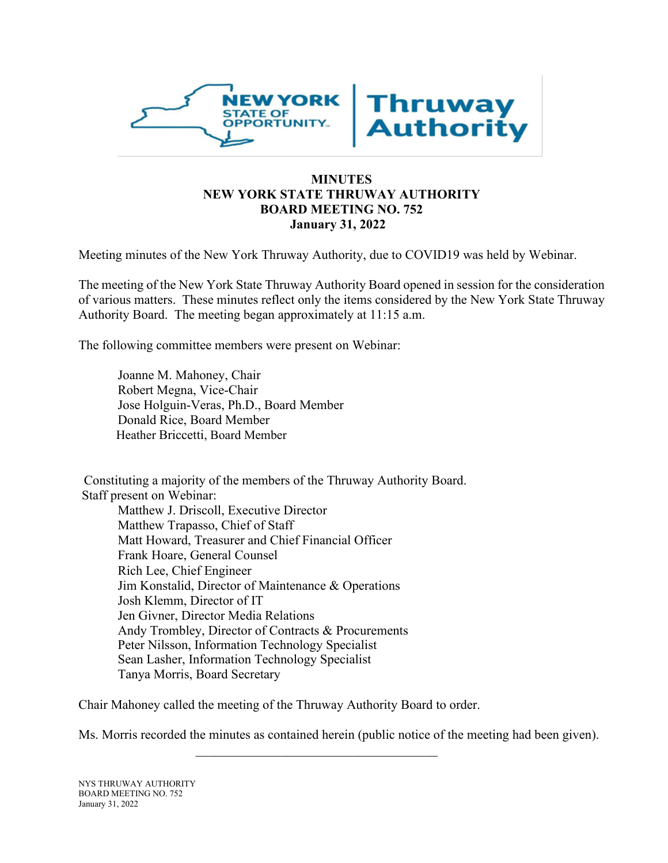

### **MINUTES NEW YORK STATE THRUWAY AUTHORITY BOARD MEETING NO. 752 January 31, 2022**

Meeting minutes of the New York Thruway Authority, due to COVID19 was held by Webinar.

The meeting of the New York State Thruway Authority Board opened in session for the consideration of various matters. These minutes reflect only the items considered by the New York State Thruway Authority Board. The meeting began approximately at 11:15 a.m.

The following committee members were present on Webinar:

Joanne M. Mahoney, Chair Robert Megna, Vice-Chair Jose Holguin-Veras, Ph.D., Board Member Donald Rice, Board Member Heather Briccetti, Board Member

Constituting a majority of the members of the Thruway Authority Board. Staff present on Webinar: Matthew J. Driscoll, Executive Director Matthew Trapasso, Chief of Staff Matt Howard, Treasurer and Chief Financial Officer Frank Hoare, General Counsel Rich Lee, Chief Engineer Jim Konstalid, Director of Maintenance & Operations Josh Klemm, Director of IT Jen Givner, Director Media Relations Andy Trombley, Director of Contracts & Procurements Peter Nilsson, Information Technology Specialist Sean Lasher, Information Technology Specialist Tanya Morris, Board Secretary

Chair Mahoney called the meeting of the Thruway Authority Board to order.

Ms. Morris recorded the minutes as contained herein (public notice of the meeting had been given).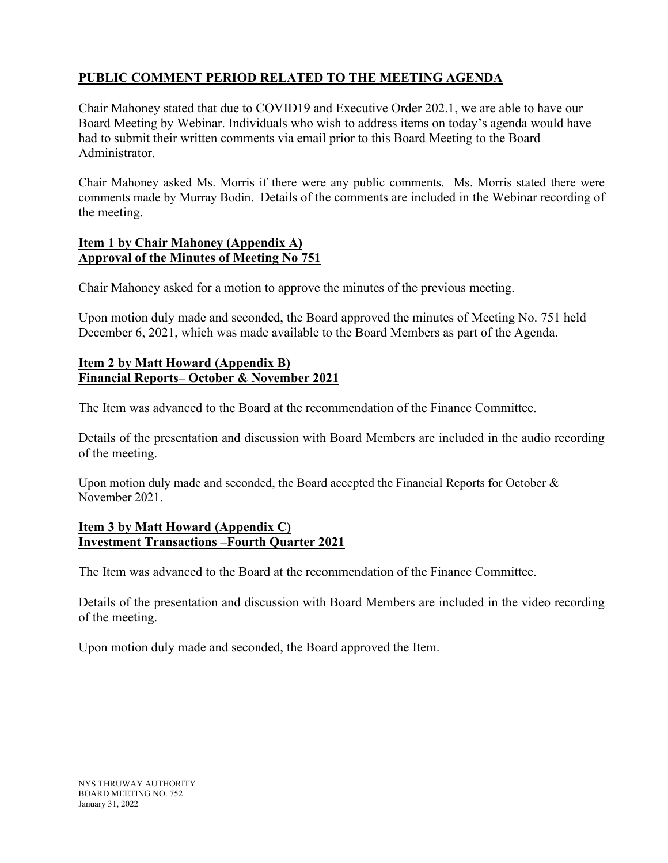# **PUBLIC COMMENT PERIOD RELATED TO THE MEETING AGENDA**

Chair Mahoney stated that due to COVID19 and Executive Order 202.1, we are able to have our Board Meeting by Webinar. Individuals who wish to address items on today's agenda would have had to submit their written comments via email prior to this Board Meeting to the Board Administrator.

Chair Mahoney asked Ms. Morris if there were any public comments. Ms. Morris stated there were comments made by Murray Bodin. Details of the comments are included in the Webinar recording of the meeting.

### **Item 1 by Chair Mahoney (Appendix A) Approval of the Minutes of Meeting No 751**

Chair Mahoney asked for a motion to approve the minutes of the previous meeting.

Upon motion duly made and seconded, the Board approved the minutes of Meeting No. 751 held December 6, 2021, which was made available to the Board Members as part of the Agenda.

## **Item 2 by Matt Howard (Appendix B) Financial Reports– October & November 2021**

The Item was advanced to the Board at the recommendation of the Finance Committee.

Details of the presentation and discussion with Board Members are included in the audio recording of the meeting.

Upon motion duly made and seconded, the Board accepted the Financial Reports for October & November 2021.

### **Item 3 by Matt Howard (Appendix C) Investment Transactions –Fourth Quarter 2021**

The Item was advanced to the Board at the recommendation of the Finance Committee.

Details of the presentation and discussion with Board Members are included in the video recording of the meeting.

Upon motion duly made and seconded, the Board approved the Item.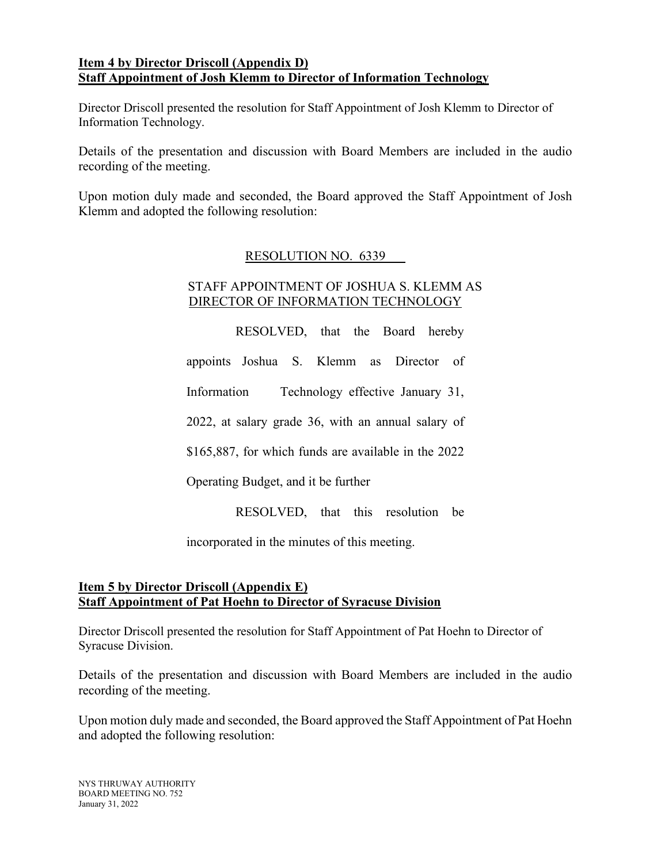### **Item 4 by Director Driscoll (Appendix D) Staff Appointment of Josh Klemm to Director of Information Technology**

Director Driscoll presented the resolution for Staff Appointment of Josh Klemm to Director of Information Technology.

Details of the presentation and discussion with Board Members are included in the audio recording of the meeting.

Upon motion duly made and seconded, the Board approved the Staff Appointment of Josh Klemm and adopted the following resolution:

### RESOLUTION NO. 6339

### STAFF APPOINTMENT OF JOSHUA S. KLEMM AS DIRECTOR OF INFORMATION TECHNOLOGY

RESOLVED, that the Board hereby appoints Joshua S. Klemm as Director of Information Technology effective January 31, 2022, at salary grade 36, with an annual salary of \$165,887, for which funds are available in the 2022

Operating Budget, and it be further

RESOLVED, that this resolution be

incorporated in the minutes of this meeting.

## **Item 5 by Director Driscoll (Appendix E) Staff Appointment of Pat Hoehn to Director of Syracuse Division**

Director Driscoll presented the resolution for Staff Appointment of Pat Hoehn to Director of Syracuse Division.

Details of the presentation and discussion with Board Members are included in the audio recording of the meeting.

Upon motion duly made and seconded, the Board approved the Staff Appointment of Pat Hoehn and adopted the following resolution:

NYS THRUWAY AUTHORITY BOARD MEETING NO. 752 January 31, 2022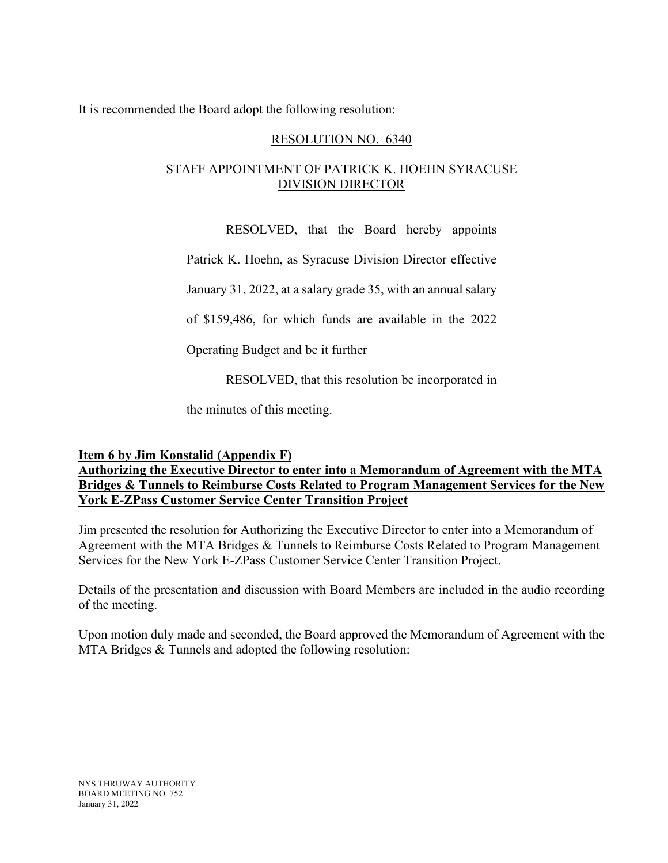It is recommended the Board adopt the following resolution:

### RESOLUTION NO.\_6340

## STAFF APPOINTMENT OF PATRICK K. HOEHN SYRACUSE DIVISION DIRECTOR

RESOLVED, that the Board hereby appoints

Patrick K. Hoehn, as Syracuse Division Director effective

January 31, 2022, at a salary grade 35, with an annual salary

of \$159,486, for which funds are available in the 2022

Operating Budget and be it further

RESOLVED, that this resolution be incorporated in

the minutes of this meeting.

## **Item 6 by Jim Konstalid (Appendix F)**

**Authorizing the Executive Director to enter into a Memorandum of Agreement with the MTA Bridges & Tunnels to Reimburse Costs Related to Program Management Services for the New York E-ZPass Customer Service Center Transition Project**

Jim presented the resolution for Authorizing the Executive Director to enter into a Memorandum of Agreement with the MTA Bridges & Tunnels to Reimburse Costs Related to Program Management Services for the New York E-ZPass Customer Service Center Transition Project.

Details of the presentation and discussion with Board Members are included in the audio recording of the meeting.

Upon motion duly made and seconded, the Board approved the Memorandum of Agreement with the MTA Bridges & Tunnels and adopted the following resolution: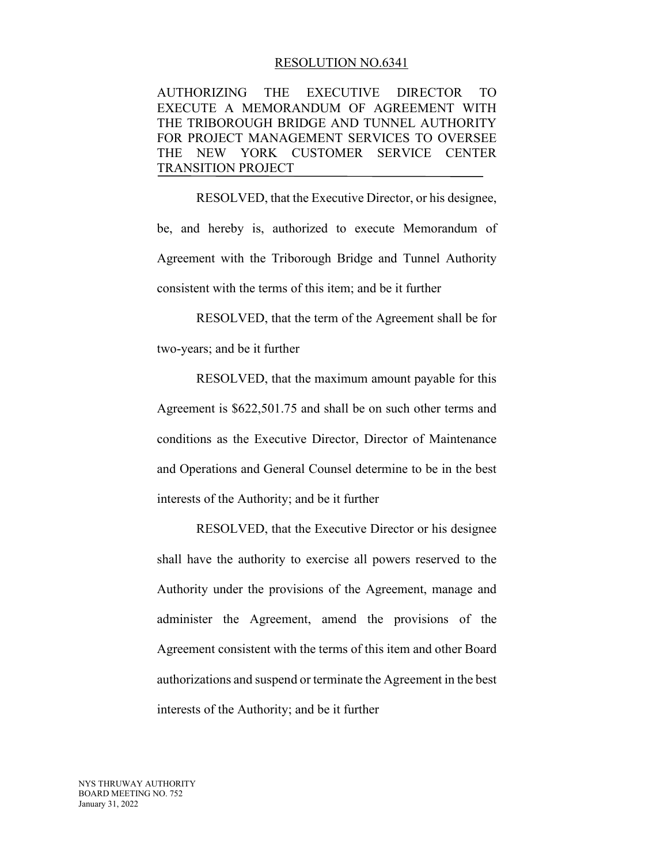#### RESOLUTION NO.6341

AUTHORIZING THE EXECUTIVE DIRECTOR TO EXECUTE A MEMORANDUM OF AGREEMENT WITH THE TRIBOROUGH BRIDGE AND TUNNEL AUTHORITY FOR PROJECT MANAGEMENT SERVICES TO OVERSEE THE NEW YORK CUSTOMER SERVICE CENTER TRANSITION PROJECT

RESOLVED, that the Executive Director, or his designee, be, and hereby is, authorized to execute Memorandum of Agreement with the Triborough Bridge and Tunnel Authority consistent with the terms of this item; and be it further

RESOLVED, that the term of the Agreement shall be for two-years; and be it further

RESOLVED, that the maximum amount payable for this Agreement is \$622,501.75 and shall be on such other terms and conditions as the Executive Director, Director of Maintenance and Operations and General Counsel determine to be in the best interests of the Authority; and be it further

RESOLVED, that the Executive Director or his designee shall have the authority to exercise all powers reserved to the Authority under the provisions of the Agreement, manage and administer the Agreement, amend the provisions of the Agreement consistent with the terms of this item and other Board authorizations and suspend or terminate the Agreement in the best interests of the Authority; and be it further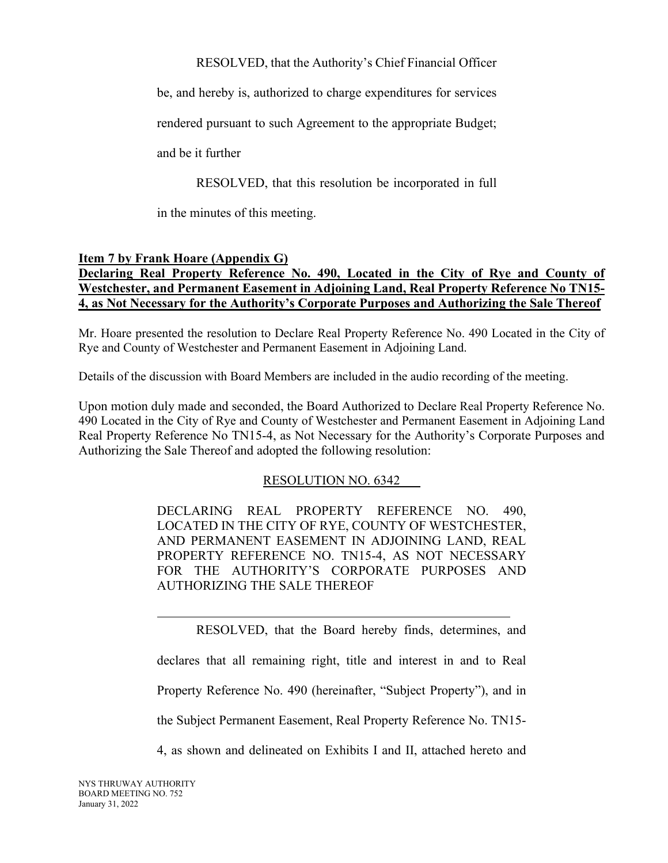RESOLVED, that the Authority's Chief Financial Officer

be, and hereby is, authorized to charge expenditures for services

rendered pursuant to such Agreement to the appropriate Budget;

and be it further

RESOLVED, that this resolution be incorporated in full

in the minutes of this meeting.

## **Item 7 by Frank Hoare (Appendix G)**

## **Declaring Real Property Reference No. 490, Located in the City of Rye and County of Westchester, and Permanent Easement in Adjoining Land, Real Property Reference No TN15- 4, as Not Necessary for the Authority's Corporate Purposes and Authorizing the Sale Thereof**

Mr. Hoare presented the resolution to Declare Real Property Reference No. 490 Located in the City of Rye and County of Westchester and Permanent Easement in Adjoining Land.

Details of the discussion with Board Members are included in the audio recording of the meeting.

Upon motion duly made and seconded, the Board Authorized to Declare Real Property Reference No. 490 Located in the City of Rye and County of Westchester and Permanent Easement in Adjoining Land Real Property Reference No TN15-4, as Not Necessary for the Authority's Corporate Purposes and Authorizing the Sale Thereof and adopted the following resolution:

## RESOLUTION NO. 6342

DECLARING REAL PROPERTY REFERENCE NO. 490, LOCATED IN THE CITY OF RYE, COUNTY OF WESTCHESTER, AND PERMANENT EASEMENT IN ADJOINING LAND, REAL PROPERTY REFERENCE NO. TN15-4, AS NOT NECESSARY FOR THE AUTHORITY'S CORPORATE PURPOSES AND AUTHORIZING THE SALE THEREOF

RESOLVED, that the Board hereby finds, determines, and declares that all remaining right, title and interest in and to Real Property Reference No. 490 (hereinafter, "Subject Property"), and in the Subject Permanent Easement, Real Property Reference No. TN15- 4, as shown and delineated on Exhibits I and II, attached hereto and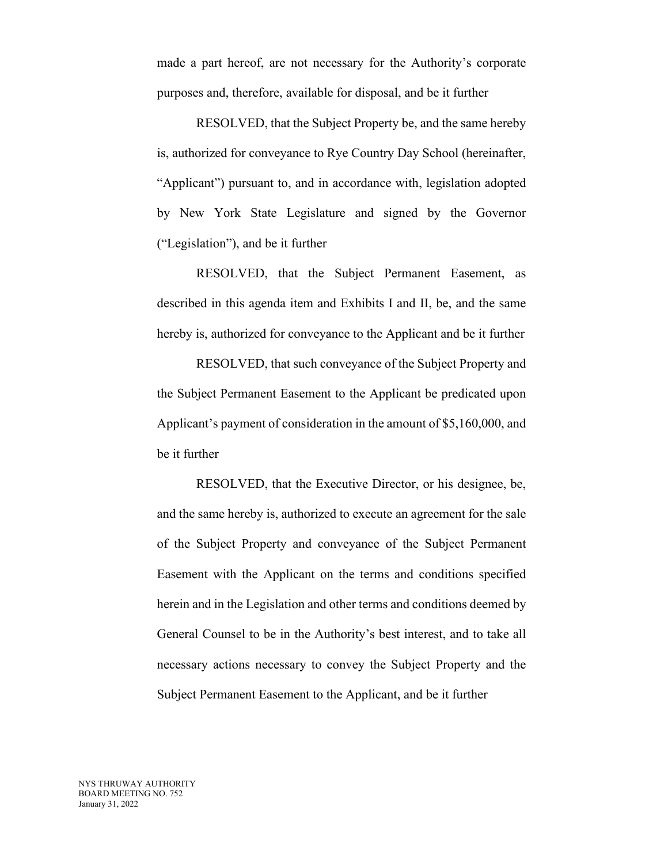made a part hereof, are not necessary for the Authority's corporate purposes and, therefore, available for disposal, and be it further

RESOLVED, that the Subject Property be, and the same hereby is, authorized for conveyance to Rye Country Day School (hereinafter, "Applicant") pursuant to, and in accordance with, legislation adopted by New York State Legislature and signed by the Governor ("Legislation"), and be it further

RESOLVED, that the Subject Permanent Easement, as described in this agenda item and Exhibits I and II, be, and the same hereby is, authorized for conveyance to the Applicant and be it further

RESOLVED, that such conveyance of the Subject Property and the Subject Permanent Easement to the Applicant be predicated upon Applicant's payment of consideration in the amount of \$5,160,000, and be it further

RESOLVED, that the Executive Director, or his designee, be, and the same hereby is, authorized to execute an agreement for the sale of the Subject Property and conveyance of the Subject Permanent Easement with the Applicant on the terms and conditions specified herein and in the Legislation and other terms and conditions deemed by General Counsel to be in the Authority's best interest, and to take all necessary actions necessary to convey the Subject Property and the Subject Permanent Easement to the Applicant, and be it further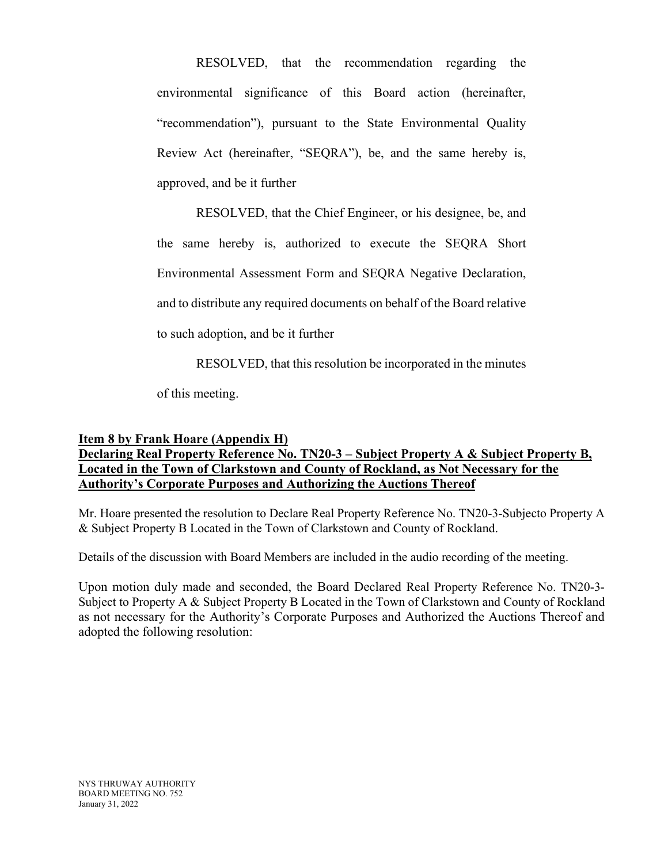RESOLVED, that the recommendation regarding the environmental significance of this Board action (hereinafter, "recommendation"), pursuant to the State Environmental Quality Review Act (hereinafter, "SEQRA"), be, and the same hereby is, approved, and be it further

RESOLVED, that the Chief Engineer, or his designee, be, and the same hereby is, authorized to execute the SEQRA Short Environmental Assessment Form and SEQRA Negative Declaration, and to distribute any required documents on behalf of the Board relative to such adoption, and be it further

RESOLVED, that this resolution be incorporated in the minutes

of this meeting.

## **Item 8 by Frank Hoare (Appendix H) Declaring Real Property Reference No. TN20-3 – Subject Property A & Subject Property B, Located in the Town of Clarkstown and County of Rockland, as Not Necessary for the Authority's Corporate Purposes and Authorizing the Auctions Thereof**

Mr. Hoare presented the resolution to Declare Real Property Reference No. TN20-3-Subjecto Property A & Subject Property B Located in the Town of Clarkstown and County of Rockland.

Details of the discussion with Board Members are included in the audio recording of the meeting.

Upon motion duly made and seconded, the Board Declared Real Property Reference No. TN20-3- Subject to Property A & Subject Property B Located in the Town of Clarkstown and County of Rockland as not necessary for the Authority's Corporate Purposes and Authorized the Auctions Thereof and adopted the following resolution: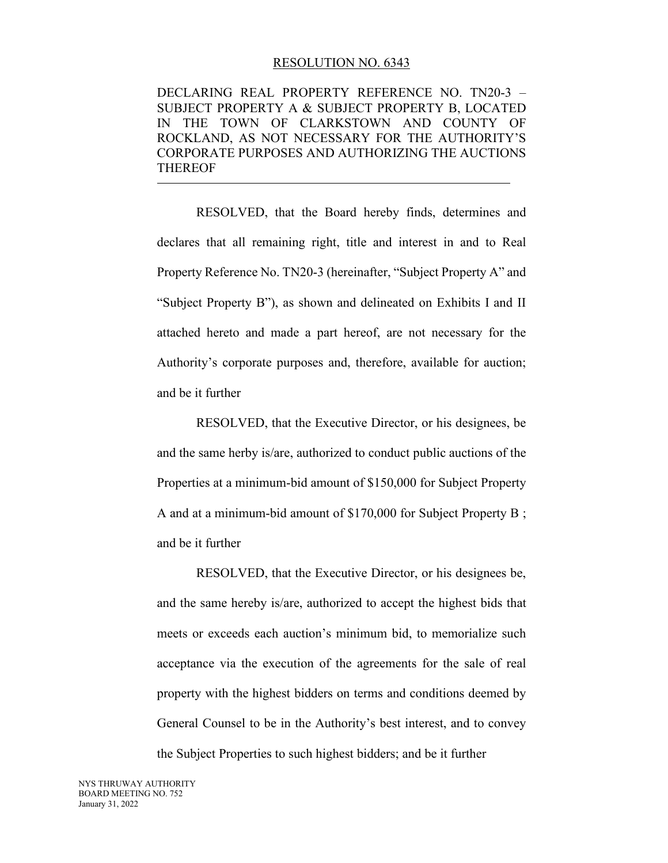#### RESOLUTION NO. 6343

DECLARING REAL PROPERTY REFERENCE NO. TN20-3 – SUBJECT PROPERTY A & SUBJECT PROPERTY B, LOCATED IN THE TOWN OF CLARKSTOWN AND COUNTY OF ROCKLAND, AS NOT NECESSARY FOR THE AUTHORITY'S CORPORATE PURPOSES AND AUTHORIZING THE AUCTIONS THEREOF

RESOLVED, that the Board hereby finds, determines and declares that all remaining right, title and interest in and to Real Property Reference No. TN20-3 (hereinafter, "Subject Property A" and "Subject Property B"), as shown and delineated on Exhibits I and II attached hereto and made a part hereof, are not necessary for the Authority's corporate purposes and, therefore, available for auction; and be it further

RESOLVED, that the Executive Director, or his designees, be and the same herby is/are, authorized to conduct public auctions of the Properties at a minimum-bid amount of \$150,000 for Subject Property A and at a minimum-bid amount of \$170,000 for Subject Property B ; and be it further

RESOLVED, that the Executive Director, or his designees be, and the same hereby is/are, authorized to accept the highest bids that meets or exceeds each auction's minimum bid, to memorialize such acceptance via the execution of the agreements for the sale of real property with the highest bidders on terms and conditions deemed by General Counsel to be in the Authority's best interest, and to convey the Subject Properties to such highest bidders; and be it further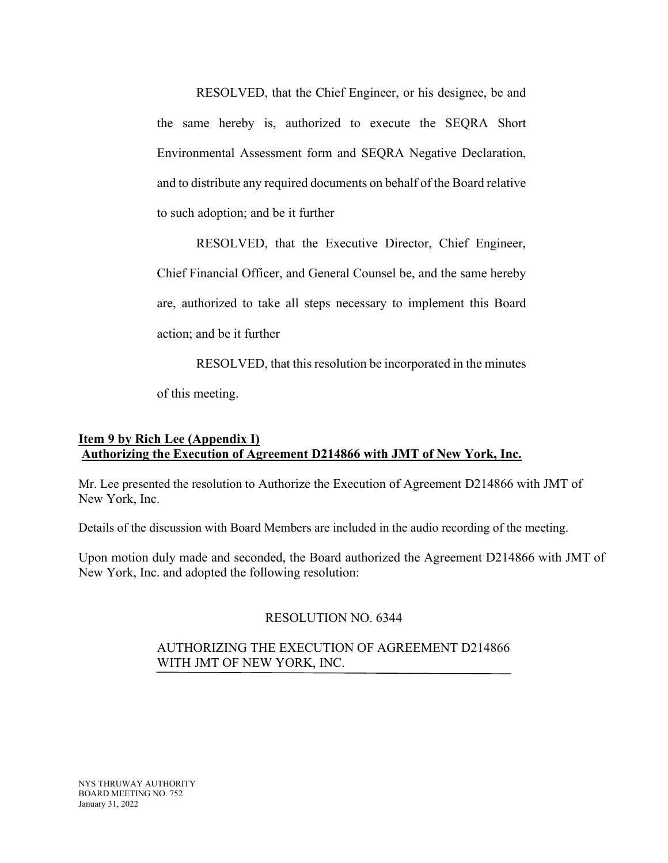RESOLVED, that the Chief Engineer, or his designee, be and the same hereby is, authorized to execute the SEQRA Short Environmental Assessment form and SEQRA Negative Declaration, and to distribute any required documents on behalf of the Board relative to such adoption; and be it further

RESOLVED, that the Executive Director, Chief Engineer, Chief Financial Officer, and General Counsel be, and the same hereby are, authorized to take all steps necessary to implement this Board action; and be it further

RESOLVED, that this resolution be incorporated in the minutes

of this meeting.

## **Item 9 by Rich Lee (Appendix I) Authorizing the Execution of Agreement D214866 with JMT of New York, Inc.**

Mr. Lee presented the resolution to Authorize the Execution of Agreement D214866 with JMT of New York, Inc.

Details of the discussion with Board Members are included in the audio recording of the meeting.

Upon motion duly made and seconded, the Board authorized the Agreement D214866 with JMT of New York, Inc. and adopted the following resolution:

## RESOLUTION NO. 6344

### AUTHORIZING THE EXECUTION OF AGREEMENT D214866 WITH JMT OF NEW YORK, INC.

NYS THRUWAY AUTHORITY BOARD MEETING NO. 752 January 31, 2022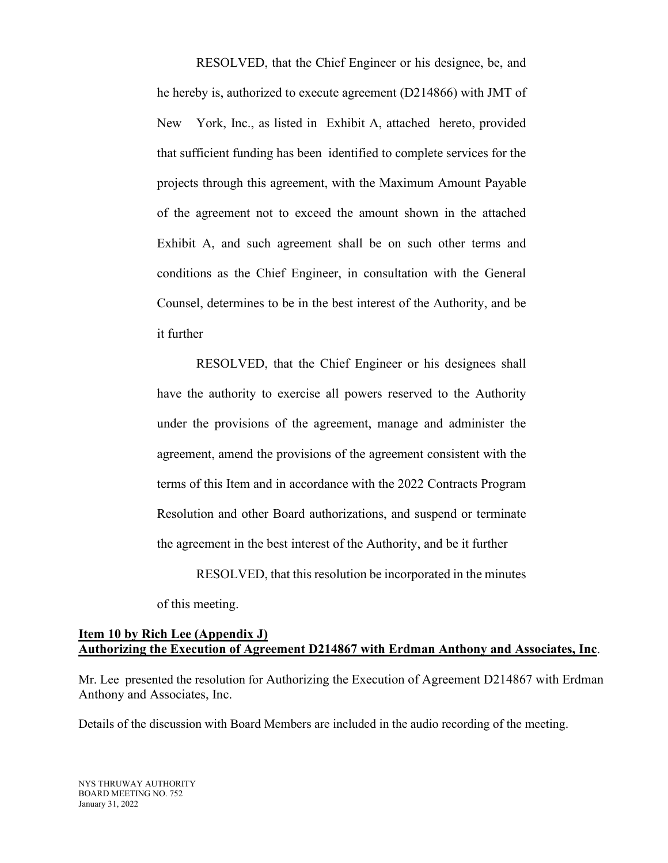RESOLVED, that the Chief Engineer or his designee, be, and he hereby is, authorized to execute agreement (D214866) with JMT of New York, Inc., as listed in Exhibit A, attached hereto, provided that sufficient funding has been identified to complete services for the projects through this agreement, with the Maximum Amount Payable of the agreement not to exceed the amount shown in the attached Exhibit A, and such agreement shall be on such other terms and conditions as the Chief Engineer, in consultation with the General Counsel, determines to be in the best interest of the Authority, and be it further

RESOLVED, that the Chief Engineer or his designees shall have the authority to exercise all powers reserved to the Authority under the provisions of the agreement, manage and administer the agreement, amend the provisions of the agreement consistent with the terms of this Item and in accordance with the 2022 Contracts Program Resolution and other Board authorizations, and suspend or terminate the agreement in the best interest of the Authority, and be it further

RESOLVED, that this resolution be incorporated in the minutes

of this meeting.

### **Item 10 by Rich Lee (Appendix J) Authorizing the Execution of Agreement D214867 with Erdman Anthony and Associates, Inc**.

Mr. Lee presented the resolution for Authorizing the Execution of Agreement D214867 with Erdman Anthony and Associates, Inc.

Details of the discussion with Board Members are included in the audio recording of the meeting.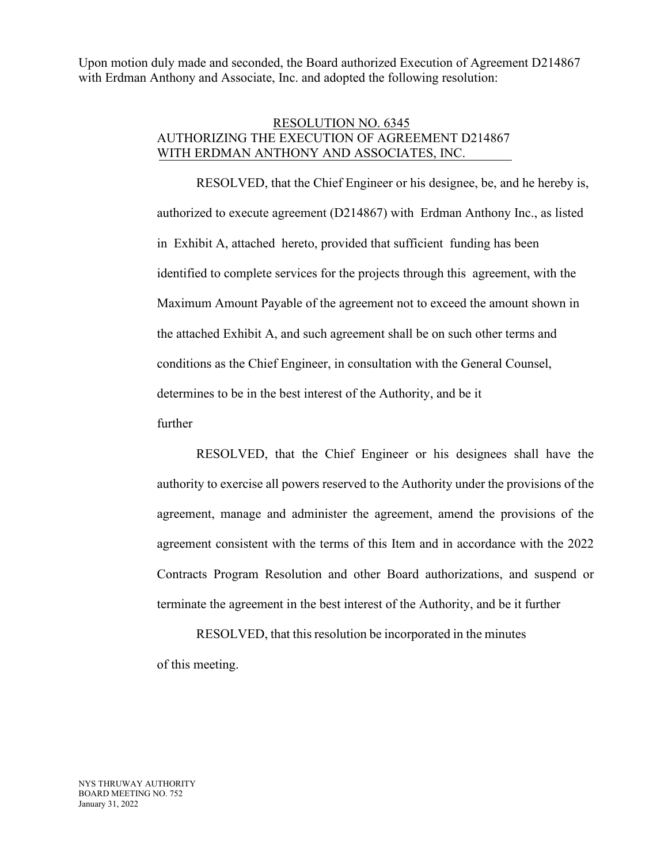Upon motion duly made and seconded, the Board authorized Execution of Agreement D214867 with Erdman Anthony and Associate, Inc. and adopted the following resolution:

### RESOLUTION NO. 6345 AUTHORIZING THE EXECUTION OF AGREEMENT D214867 WITH ERDMAN ANTHONY AND ASSOCIATES, INC.

 RESOLVED, that the Chief Engineer or his designee, be, and he hereby is, authorized to execute agreement (D214867) with Erdman Anthony Inc., as listed in Exhibit A, attached hereto, provided that sufficient funding has been identified to complete services for the projects through this agreement, with the Maximum Amount Payable of the agreement not to exceed the amount shown in the attached Exhibit A, and such agreement shall be on such other terms and conditions as the Chief Engineer, in consultation with the General Counsel, determines to be in the best interest of the Authority, and be it

further

RESOLVED, that the Chief Engineer or his designees shall have the authority to exercise all powers reserved to the Authority under the provisions of the agreement, manage and administer the agreement, amend the provisions of the agreement consistent with the terms of this Item and in accordance with the 2022 Contracts Program Resolution and other Board authorizations, and suspend or terminate the agreement in the best interest of the Authority, and be it further

RESOLVED, that this resolution be incorporated in the minutes of this meeting.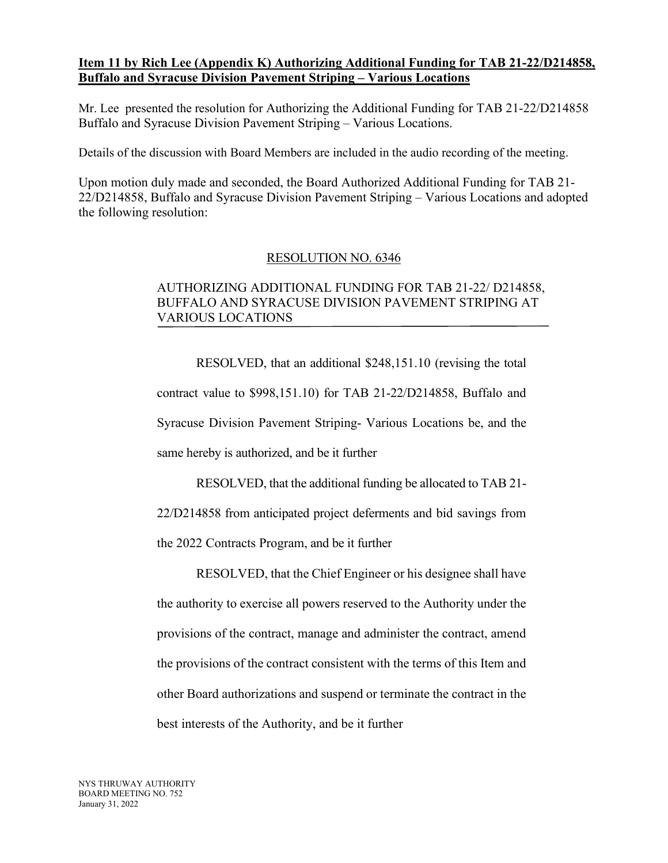### **Item 11 by Rich Lee (Appendix K) Authorizing Additional Funding for TAB 21-22/D214858, Buffalo and Syracuse Division Pavement Striping – Various Locations**

Mr. Lee presented the resolution for Authorizing the Additional Funding for TAB 21-22/D214858 Buffalo and Syracuse Division Pavement Striping – Various Locations.

Details of the discussion with Board Members are included in the audio recording of the meeting.

Upon motion duly made and seconded, the Board Authorized Additional Funding for TAB 21- 22/D214858, Buffalo and Syracuse Division Pavement Striping – Various Locations and adopted the following resolution:

### RESOLUTION NO. 6346

## AUTHORIZING ADDITIONAL FUNDING FOR TAB 21-22/ D214858, BUFFALO AND SYRACUSE DIVISION PAVEMENT STRIPING AT VARIOUS LOCATIONS

 RESOLVED, that an additional \$248,151.10 (revising the total contract value to \$998,151.10) for TAB 21-22/D214858, Buffalo and Syracuse Division Pavement Striping- Various Locations be, and the same hereby is authorized, and be it further

 RESOLVED, that the additional funding be allocated to TAB 21- 22/D214858 from anticipated project deferments and bid savings from the 2022 Contracts Program, and be it further

 RESOLVED, that the Chief Engineer or his designee shall have the authority to exercise all powers reserved to the Authority under the provisions of the contract, manage and administer the contract, amend the provisions of the contract consistent with the terms of this Item and other Board authorizations and suspend or terminate the contract in the best interests of the Authority, and be it further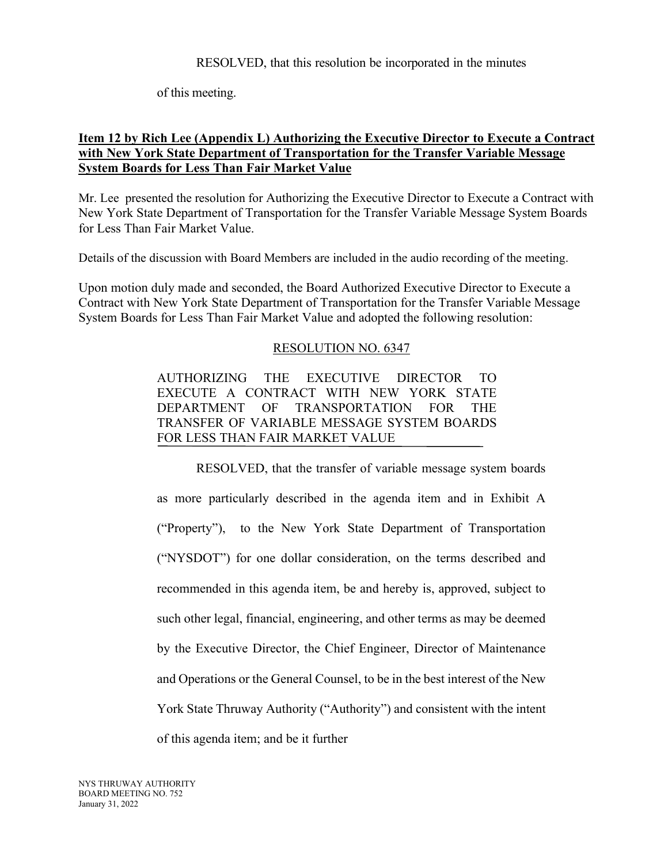RESOLVED, that this resolution be incorporated in the minutes

of this meeting.

## **Item 12 by Rich Lee (Appendix L) Authorizing the Executive Director to Execute a Contract with New York State Department of Transportation for the Transfer Variable Message System Boards for Less Than Fair Market Value**

Mr. Lee presented the resolution for Authorizing the Executive Director to Execute a Contract with New York State Department of Transportation for the Transfer Variable Message System Boards for Less Than Fair Market Value.

Details of the discussion with Board Members are included in the audio recording of the meeting.

Upon motion duly made and seconded, the Board Authorized Executive Director to Execute a Contract with New York State Department of Transportation for the Transfer Variable Message System Boards for Less Than Fair Market Value and adopted the following resolution:

### RESOLUTION NO. 6347

AUTHORIZING THE EXECUTIVE DIRECTOR TO EXECUTE A CONTRACT WITH NEW YORK STATE DEPARTMENT OF TRANSPORTATION FOR THE TRANSFER OF VARIABLE MESSAGE SYSTEM BOARDS FOR LESS THAN FAIR MARKET VALUE

RESOLVED, that the transfer of variable message system boards as more particularly described in the agenda item and in Exhibit A ("Property"), to the New York State Department of Transportation ("NYSDOT") for one dollar consideration, on the terms described and recommended in this agenda item, be and hereby is, approved, subject to such other legal, financial, engineering, and other terms as may be deemed by the Executive Director, the Chief Engineer, Director of Maintenance and Operations or the General Counsel, to be in the best interest of the New York State Thruway Authority ("Authority") and consistent with the intent of this agenda item; and be it further

NYS THRUWAY AUTHORITY BOARD MEETING NO. 752 January 31, 2022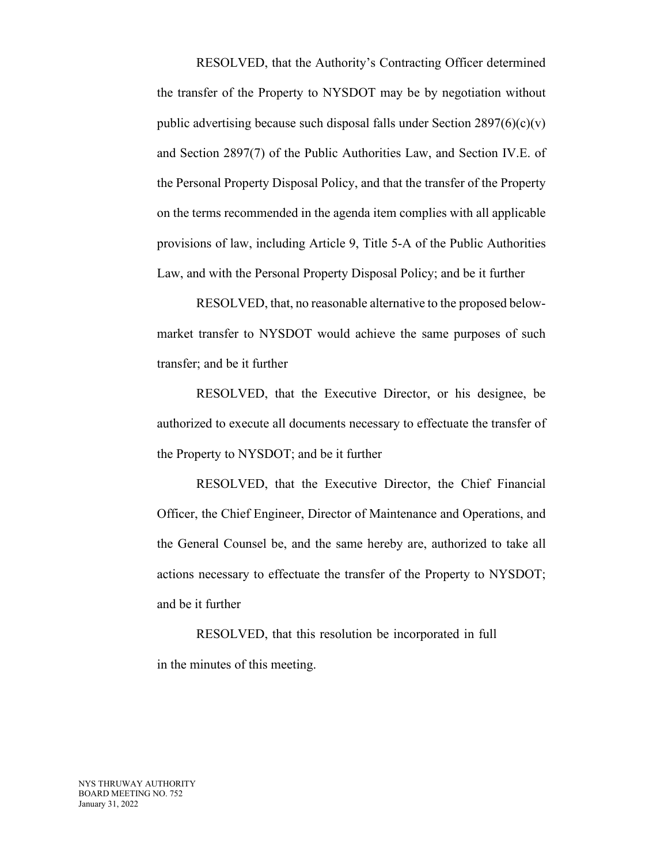RESOLVED, that the Authority's Contracting Officer determined the transfer of the Property to NYSDOT may be by negotiation without public advertising because such disposal falls under Section  $2897(6)(c)(v)$ and Section 2897(7) of the Public Authorities Law, and Section IV.E. of the Personal Property Disposal Policy, and that the transfer of the Property on the terms recommended in the agenda item complies with all applicable provisions of law, including Article 9, Title 5-A of the Public Authorities Law, and with the Personal Property Disposal Policy; and be it further

RESOLVED, that, no reasonable alternative to the proposed belowmarket transfer to NYSDOT would achieve the same purposes of such transfer; and be it further

RESOLVED, that the Executive Director, or his designee, be authorized to execute all documents necessary to effectuate the transfer of the Property to NYSDOT; and be it further

RESOLVED, that the Executive Director, the Chief Financial Officer, the Chief Engineer, Director of Maintenance and Operations, and the General Counsel be, and the same hereby are, authorized to take all actions necessary to effectuate the transfer of the Property to NYSDOT; and be it further

RESOLVED, that this resolution be incorporated in full in the minutes of this meeting.